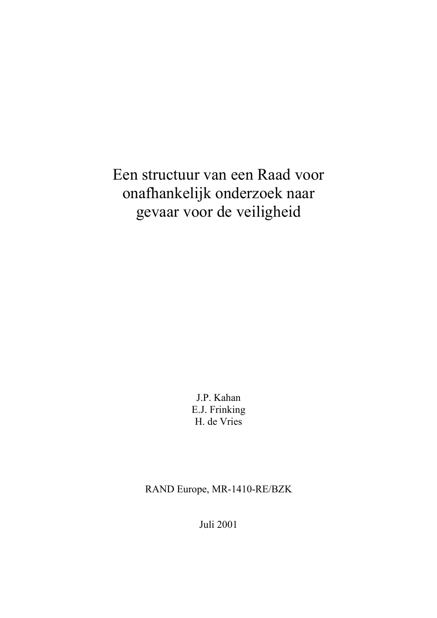Een structuur van een Raad voor onafhankelijk onderzoek naar gevaar voor de veiligheid

> J.P. Kahan E.J. Frinking H. de Vries

RAND Europe, MR-1410-RE/BZK

Juli 2001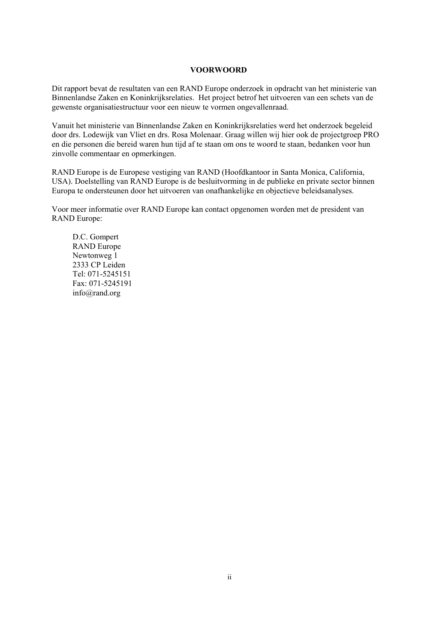#### **VOORWOORD**

Dit rapport bevat de resultaten van een RAND Europe onderzoek in opdracht van het ministerie van Binnenlandse Zaken en Koninkrijksrelaties. Het project betrof het uitvoeren van een schets van de gewenste organisatiestructuur voor een nieuw te vormen ongevallenraad.

Vanuit het ministerie van Binnenlandse Zaken en Koninkrijksrelaties werd het onderzoek begeleid door drs. Lodewijk van Vliet en drs. Rosa Molenaar. Graag willen wij hier ook de projectgroep PRO en die personen die bereid waren hun tijd af te staan om ons te woord te staan, bedanken voor hun zinvolle commentaar en opmerkingen.

RAND Europe is de Europese vestiging van RAND (Hoofdkantoor in Santa Monica, California, USA). Doelstelling van RAND Europe is de besluitvorming in de publieke en private sector binnen Europa te ondersteunen door het uitvoeren van onafhankelijke en objectieve beleidsanalyses.

Voor meer informatie over RAND Europe kan contact opgenomen worden met de president van RAND Europe:

D.C. Gompert RAND Europe Newtonweg 1 2333 CP Leiden Tel: 071-5245151 Fax: 071-5245191 info@rand.org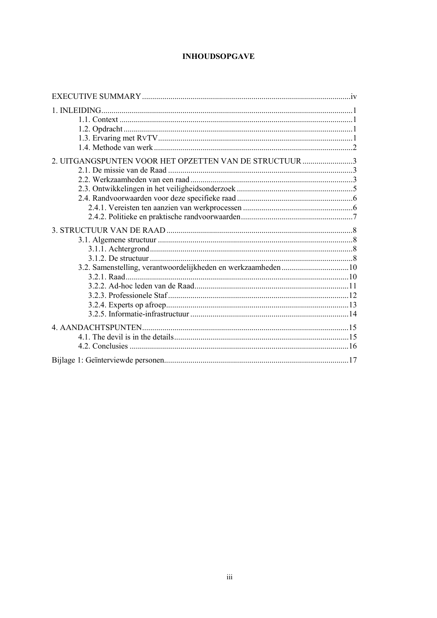# **INHOUDSOPGAVE**

| 2. UITGANGSPUNTEN VOOR HET OPZETTEN VAN DE STRUCTUUR 3 |  |
|--------------------------------------------------------|--|
|                                                        |  |
|                                                        |  |
|                                                        |  |
|                                                        |  |
|                                                        |  |
|                                                        |  |
|                                                        |  |
|                                                        |  |
|                                                        |  |
|                                                        |  |
|                                                        |  |
|                                                        |  |
|                                                        |  |
|                                                        |  |
|                                                        |  |
|                                                        |  |
|                                                        |  |
|                                                        |  |
|                                                        |  |
|                                                        |  |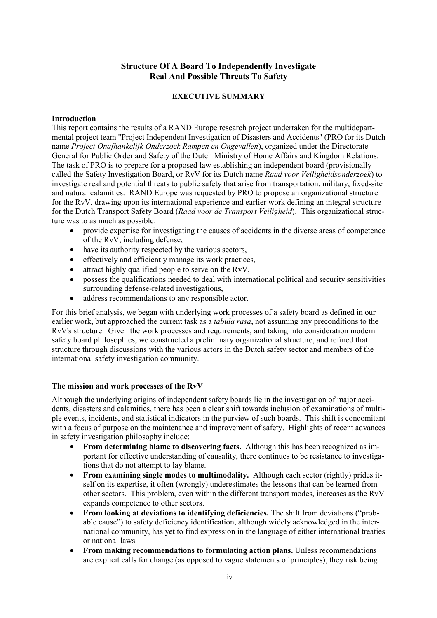## **Structure Of A Board To Independently Investigate Real And Possible Threats To Safety**

#### **EXECUTIVE SUMMARY**

#### <span id="page-3-0"></span>**Introduction**

This report contains the results of a RAND Europe research project undertaken for the multidepartmental project team "Project Independent Investigation of Disasters and Accidents" (PRO for its Dutch name *Project Onafhankelijk Onderzoek Rampen en Ongevallen*), organized under the Directorate General for Public Order and Safety of the Dutch Ministry of Home Affairs and Kingdom Relations. The task of PRO is to prepare for a proposed law establishing an independent board (provisionally called the Safety Investigation Board, or RvV for its Dutch name *Raad voor Veiligheidsonderzoek*) to investigate real and potential threats to public safety that arise from transportation, military, fixed-site and natural calamities. RAND Europe was requested by PRO to propose an organizational structure for the RvV, drawing upon its international experience and earlier work defining an integral structure for the Dutch Transport Safety Board (*Raad voor de Transport Veiligheid*). This organizational structure was to as much as possible:

- provide expertise for investigating the causes of accidents in the diverse areas of competence of the RvV, including defense,
- have its authority respected by the various sectors,
- effectively and efficiently manage its work practices,
- attract highly qualified people to serve on the RvV.
- possess the qualifications needed to deal with international political and security sensitivities surrounding defense-related investigations,
- address recommendations to any responsible actor.

For this brief analysis, we began with underlying work processes of a safety board as defined in our earlier work, but approached the current task as a *tabula rasa*, not assuming any preconditions to the RvV's structure. Given the work processes and requirements, and taking into consideration modern safety board philosophies, we constructed a preliminary organizational structure, and refined that structure through discussions with the various actors in the Dutch safety sector and members of the international safety investigation community.

#### **The mission and work processes of the RvV**

Although the underlying origins of independent safety boards lie in the investigation of major accidents, disasters and calamities, there has been a clear shift towards inclusion of examinations of multiple events, incidents, and statistical indicators in the purview of such boards. This shift is concomitant with a focus of purpose on the maintenance and improvement of safety. Highlights of recent advances in safety investigation philosophy include:

- **From determining blame to discovering facts.** Although this has been recognized as important for effective understanding of causality, there continues to be resistance to investigations that do not attempt to lay blame.
- **From examining single modes to multimodality.** Although each sector (rightly) prides itself on its expertise, it often (wrongly) underestimates the lessons that can be learned from other sectors. This problem, even within the different transport modes, increases as the RvV expands competence to other sectors.
- **From looking at deviations to identifying deficiencies.** The shift from deviations ("probable cause") to safety deficiency identification, although widely acknowledged in the international community, has yet to find expression in the language of either international treaties or national laws.
- **From making recommendations to formulating action plans.** Unless recommendations are explicit calls for change (as opposed to vague statements of principles), they risk being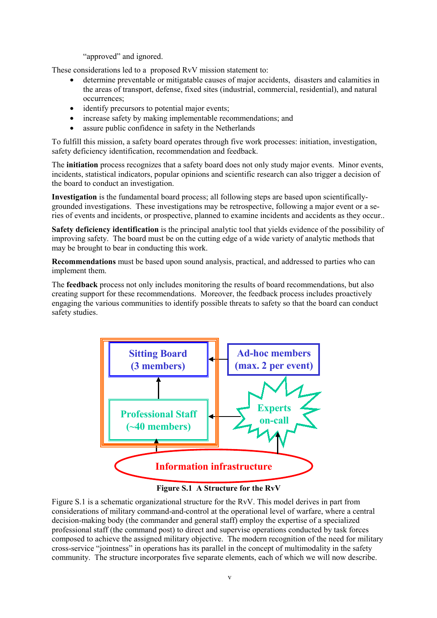"approved" and ignored.

These considerations led to a proposed RvV mission statement to:

- determine preventable or mitigatable causes of major accidents, disasters and calamities in the areas of transport, defense, fixed sites (industrial, commercial, residential), and natural occurrences;
- identify precursors to potential major events;
- increase safety by making implementable recommendations; and
- assure public confidence in safety in the Netherlands

To fulfill this mission, a safety board operates through five work processes: initiation, investigation, safety deficiency identification, recommendation and feedback.

The **initiation** process recognizes that a safety board does not only study major events. Minor events, incidents, statistical indicators, popular opinions and scientific research can also trigger a decision of the board to conduct an investigation.

**Investigation** is the fundamental board process; all following steps are based upon scientificallygrounded investigations. These investigations may be retrospective, following a major event or a series of events and incidents, or prospective, planned to examine incidents and accidents as they occur..

**Safety deficiency identification** is the principal analytic tool that yields evidence of the possibility of improving safety. The board must be on the cutting edge of a wide variety of analytic methods that may be brought to bear in conducting this work.

**Recommendations** must be based upon sound analysis, practical, and addressed to parties who can implement them.

The **feedback** process not only includes monitoring the results of board recommendations, but also creating support for these recommendations. Moreover, the feedback process includes proactively engaging the various communities to identify possible threats to safety so that the board can conduct safety studies.



**Figure S.1 A Structure for the RvV** 

Figure S.1 is a schematic organizational structure for the RvV. This model derives in part from considerations of military command-and-control at the operational level of warfare, where a central decision-making body (the commander and general staff) employ the expertise of a specialized professional staff (the command post) to direct and supervise operations conducted by task forces composed to achieve the assigned military objective. The modern recognition of the need for military cross-service "jointness" in operations has its parallel in the concept of multimodality in the safety community. The structure incorporates five separate elements, each of which we will now describe.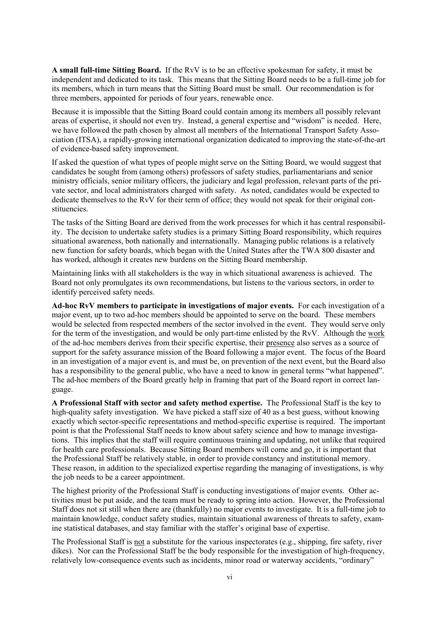**A small full-time Sitting Board.** If the RvV is to be an effective spokesman for safety, it must be independent and dedicated to its task. This means that the Sitting Board needs to be a full-time job for its members, which in turn means that the Sitting Board must be small. Our recommendation is for three members, appointed for periods of four years, renewable once.

Because it is impossible that the Sitting Board could contain among its members all possibly relevant areas of expertise, it should not even try. Instead, a general expertise and "wisdom" is needed. Here, we have followed the path chosen by almost all members of the International Transport Safety Association (ITSA), a rapidly-growing international organization dedicated to improving the state-of-the-art of evidence-based safety improvement.

If asked the question of what types of people might serve on the Sitting Board, we would suggest that candidates be sought from (among others) professors of safety studies, parliamentarians and senior ministry officials, senior military officers, the judiciary and legal profession, relevant parts of the private sector, and local administrators charged with safety. As noted, candidates would be expected to dedicate themselves to the RvV for their term of office; they would not speak for their original constituencies.

The tasks of the Sitting Board are derived from the work processes for which it has central responsibility. The decision to undertake safety studies is a primary Sitting Board responsibility, which requires situational awareness, both nationally and internationally. Managing public relations is a relatively new function for safety boards, which began with the United States after the TWA 800 disaster and has worked, although it creates new burdens on the Sitting Board membership.

Maintaining links with all stakeholders is the way in which situational awareness is achieved. The Board not only promulgates its own recommendations, but listens to the various sectors, in order to identify perceived safety needs.

**Ad-hoc RvV members to participate in investigations of major events.** For each investigation of a major event, up to two ad-hoc members should be appointed to serve on the board. These members would be selected from respected members of the sector involved in the event. They would serve only for the term of the investigation, and would be only part-time enlisted by the RvV. Although the work of the ad-hoc members derives from their specific expertise, their presence also serves as a source of support for the safety assurance mission of the Board following a major event. The focus of the Board in an investigation of a major event is, and must be, on prevention of the next event, but the Board also has a responsibility to the general public, who have a need to know in general terms "what happened". The ad-hoc members of the Board greatly help in framing that part of the Board report in correct language.

**A Professional Staff with sector and safety method expertise.** The Professional Staff is the key to high-quality safety investigation. We have picked a staff size of 40 as a best guess, without knowing exactly which sector-specific representations and method-specific expertise is required. The important point is that the Professional Staff needs to know about safety science and how to manage investigations. This implies that the staff will require continuous training and updating, not unlike that required for health care professionals. Because Sitting Board members will come and go, it is important that the Professional Staff be relatively stable, in order to provide constancy and institutional memory. These reason, in addition to the specialized expertise regarding the managing of investigations, is why the job needs to be a career appointment.

The highest priority of the Professional Staff is conducting investigations of major events. Other activities must be put aside, and the team must be ready to spring into action. However, the Professional Staff does not sit still when there are (thankfully) no major events to investigate. It is a full-time job to maintain knowledge, conduct safety studies, maintain situational awareness of threats to safety, examine statistical databases, and stay familiar with the staffer's original base of expertise.

The Professional Staff is not a substitute for the various inspectorates (e.g., shipping, fire safety, river dikes). Nor can the Professional Staff be the body responsible for the investigation of high-frequency, relatively low-consequence events such as incidents, minor road or waterway accidents, "ordinary"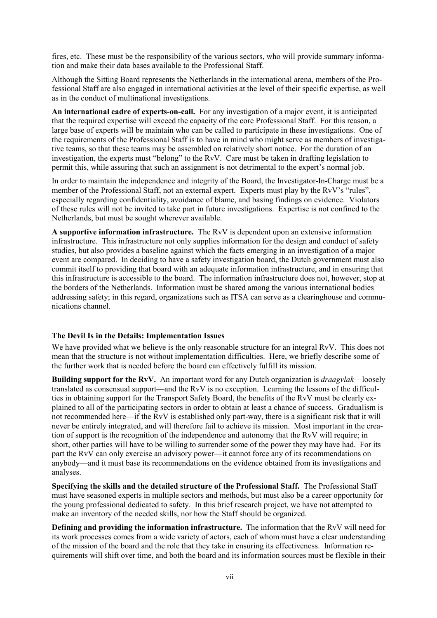fires, etc. These must be the responsibility of the various sectors, who will provide summary information and make their data bases available to the Professional Staff.

Although the Sitting Board represents the Netherlands in the international arena, members of the Professional Staff are also engaged in international activities at the level of their specific expertise, as well as in the conduct of multinational investigations.

**An international cadre of experts-on-call.** For any investigation of a major event, it is anticipated that the required expertise will exceed the capacity of the core Professional Staff. For this reason, a large base of experts will be maintain who can be called to participate in these investigations. One of the requirements of the Professional Staff is to have in mind who might serve as members of investigative teams, so that these teams may be assembled on relatively short notice. For the duration of an investigation, the experts must "belong" to the RvV. Care must be taken in drafting legislation to permit this, while assuring that such an assignment is not detrimental to the expert's normal job.

In order to maintain the independence and integrity of the Board, the Investigator-In-Charge must be a member of the Professional Staff, not an external expert. Experts must play by the RvV's "rules", especially regarding confidentiality, avoidance of blame, and basing findings on evidence. Violators of these rules will not be invited to take part in future investigations. Expertise is not confined to the Netherlands, but must be sought wherever available.

**A supportive information infrastructure.** The RvV is dependent upon an extensive information infrastructure. This infrastructure not only supplies information for the design and conduct of safety studies, but also provides a baseline against which the facts emerging in an investigation of a major event are compared. In deciding to have a safety investigation board, the Dutch government must also commit itself to providing that board with an adequate information infrastructure, and in ensuring that this infrastructure is accessible to the board. The information infrastructure does not, however, stop at the borders of the Netherlands. Information must be shared among the various international bodies addressing safety; in this regard, organizations such as ITSA can serve as a clearinghouse and communications channel.

#### **The Devil Is in the Details: Implementation Issues**

We have provided what we believe is the only reasonable structure for an integral RvV. This does not mean that the structure is not without implementation difficulties. Here, we briefly describe some of the further work that is needed before the board can effectively fulfill its mission.

**Building support for the RvV.** An important word for any Dutch organization is *draagvlak*—loosely translated as consensual support—and the RvV is no exception. Learning the lessons of the difficulties in obtaining support for the Transport Safety Board, the benefits of the RvV must be clearly explained to all of the participating sectors in order to obtain at least a chance of success. Gradualism is not recommended here—if the RvV is established only part-way, there is a significant risk that it will never be entirely integrated, and will therefore fail to achieve its mission. Most important in the creation of support is the recognition of the independence and autonomy that the RvV will require; in short, other parties will have to be willing to surrender some of the power they may have had. For its part the RvV can only exercise an advisory power—it cannot force any of its recommendations on anybody—and it must base its recommendations on the evidence obtained from its investigations and analyses.

**Specifying the skills and the detailed structure of the Professional Staff.** The Professional Staff must have seasoned experts in multiple sectors and methods, but must also be a career opportunity for the young professional dedicated to safety. In this brief research project, we have not attempted to make an inventory of the needed skills, nor how the Staff should be organized.

**Defining and providing the information infrastructure.** The information that the RvV will need for its work processes comes from a wide variety of actors, each of whom must have a clear understanding of the mission of the board and the role that they take in ensuring its effectiveness. Information requirements will shift over time, and both the board and its information sources must be flexible in their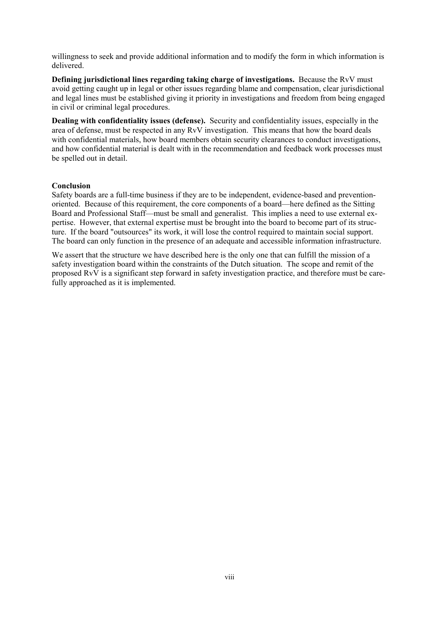willingness to seek and provide additional information and to modify the form in which information is delivered.

**Defining jurisdictional lines regarding taking charge of investigations.** Because the RvV must avoid getting caught up in legal or other issues regarding blame and compensation, clear jurisdictional and legal lines must be established giving it priority in investigations and freedom from being engaged in civil or criminal legal procedures.

**Dealing with confidentiality issues (defense).** Security and confidentiality issues, especially in the area of defense, must be respected in any RvV investigation. This means that how the board deals with confidential materials, how board members obtain security clearances to conduct investigations, and how confidential material is dealt with in the recommendation and feedback work processes must be spelled out in detail.

#### **Conclusion**

Safety boards are a full-time business if they are to be independent, evidence-based and preventionoriented. Because of this requirement, the core components of a board—here defined as the Sitting Board and Professional Staff—must be small and generalist. This implies a need to use external expertise. However, that external expertise must be brought into the board to become part of its structure. If the board "outsources" its work, it will lose the control required to maintain social support. The board can only function in the presence of an adequate and accessible information infrastructure.

We assert that the structure we have described here is the only one that can fulfill the mission of a safety investigation board within the constraints of the Dutch situation. The scope and remit of the proposed RvV is a significant step forward in safety investigation practice, and therefore must be carefully approached as it is implemented.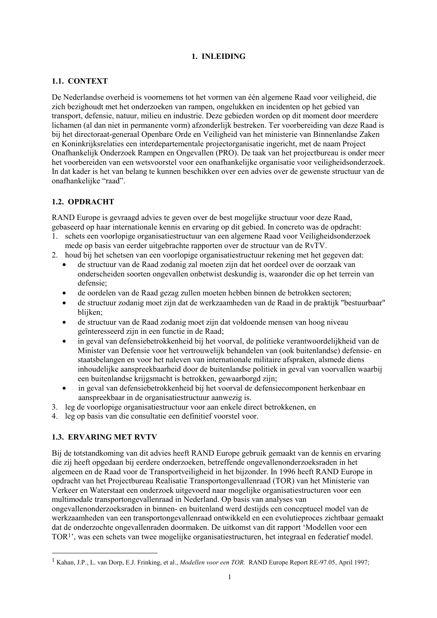## **1. INLEIDING**

# <span id="page-8-0"></span>**1.1. CONTEXT**

De Nederlandse overheid is voornemens tot het vormen van één algemene Raad voor veiligheid, die zich bezighoudt met het onderzoeken van rampen, ongelukken en incidenten op het gebied van transport, defensie, natuur, milieu en industrie. Deze gebieden worden op dit moment door meerdere lichamen (al dan niet in permanente vorm) afzonderlijk bestreken. Ter voorbereiding van deze Raad is bij het directoraat-generaal Openbare Orde en Veiligheid van het ministerie van Binnenlandse Zaken en Koninkrijksrelaties een interdepartementale projectorganisatie ingericht, met de naam Project Onafhankelijk Onderzoek Rampen en Ongevallen (PRO). De taak van het projectbureau is onder meer het voorbereiden van een wetsvoorstel voor een onafhankelijke organisatie voor veiligheidsonderzoek. In dat kader is het van belang te kunnen beschikken over een advies over de gewenste structuur van de onafhankelijke "raad".

# **1.2. OPDRACHT**

RAND Europe is gevraagd advies te geven over de best mogelijke structuur voor deze Raad, gebaseerd op haar internationale kennis en ervaring op dit gebied. In concreto was de opdracht:

- 1. schets een voorlopige organisatiestructuur van een algemene Raad voor Veiligheidsonderzoek mede op basis van eerder uitgebrachte rapporten over de structuur van de RvTV.
- 2. houd bij het schetsen van een voorlopige organisatiestructuur rekening met het gegeven dat:
	- de structuur van de Raad zodanig zal moeten zijn dat het oordeel over de oorzaak van onderscheiden soorten ongevallen onbetwist deskundig is, waaronder die op het terrein van defensie;
	- de oordelen van de Raad gezag zullen moeten hebben binnen de betrokken sectoren;
	- de structuur zodanig moet zijn dat de werkzaamheden van de Raad in de praktijk "bestuurbaar" blijken;
	- de structuur van de Raad zodanig moet zijn dat voldoende mensen van hoog niveau geïnteresseerd zijn in een functie in de Raad;
	- in geval van defensiebetrokkenheid bij het voorval, de politieke verantwoordelijkheid van de Minister van Defensie voor het vertrouwelijk behandelen van (ook buitenlandse) defensie- en staatsbelangen en voor het naleven van internationale militaire afspraken, alsmede diens inhoudelijke aanspreekbaarheid door de buitenlandse politiek in geval van voorvallen waarbij een buitenlandse krijgsmacht is betrokken, gewaarborgd zijn;
	- in geval van defensiebetrokkenheid bij het voorval de defensiecomponent herkenbaar en aanspreekbaar in de organisatiestructuur aanwezig is.
- 3. leg de voorlopige organisatiestructuur voor aan enkele direct betrokkenen, en
- 4. leg op basis van die consultatie een definitief voorstel voor.

## **1.3. ERVARING MET RVTV**

l

Bij de totstandkoming van dit advies heeft RAND Europe gebruik gemaakt van de kennis en ervaring die zij heeft opgedaan bij eerdere onderzoeken, betreffende ongevallenonderzoeksraden in het algemeen en de Raad voor de Transportveiligheid in het bijzonder. In 1996 heeft RAND Europe in opdracht van het Projectbureau Realisatie Transportongevallenraad (TOR) van het Ministerie van Verkeer en Waterstaat een onderzoek uitgevoerd naar mogelijke organisatiestructuren voor een multimodale transportongevallenraad in Nederland. Op basis van analyses van ongevallenonderzoeksraden in binnen- en buitenland werd destijds een conceptueel model van de werkzaamheden van een transportongevallenraad ontwikkeld en een evolutieproces zichtbaar gemaakt dat de onderzochte ongevallenraden doormaken. De uitkomst van dit rapport 'Modellen voor een TOR1', was een schets van twee mogelijke organisatiestructuren, het integraal en federatief model.

<sup>1</sup> Kahan, J.P., L. van Dorp, E.J. Frinking, et al., *Modellen voor een TOR*. RAND Europe Report RE-97.05, April 1997;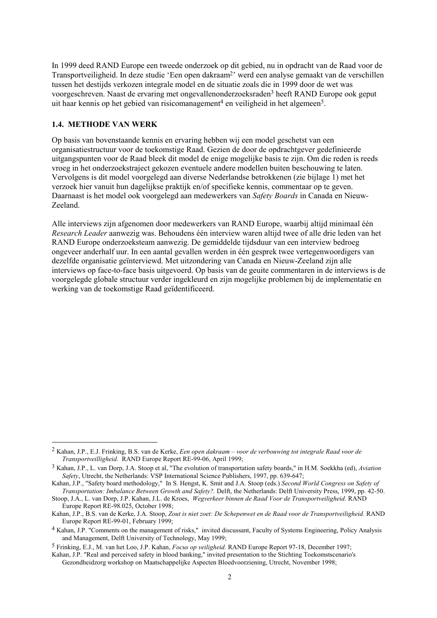<span id="page-9-0"></span>In 1999 deed RAND Europe een tweede onderzoek op dit gebied, nu in opdracht van de Raad voor de Transportveiligheid. In deze studie 'Een open dakraam2' werd een analyse gemaakt van de verschillen tussen het destijds verkozen integrale model en de situatie zoals die in 1999 door de wet was voorgeschreven. Naast de ervaring met ongevallenonderzoeksraden3 heeft RAND Europe ook geput uit haar kennis op het gebied van risicomanagement<sup>4</sup> en veiligheid in het algemeen<sup>5</sup>.

#### **1.4. METHODE VAN WERK**

l

Op basis van bovenstaande kennis en ervaring hebben wij een model geschetst van een organisatiestructuur voor de toekomstige Raad. Gezien de door de opdrachtgever gedefinieerde uitgangspunten voor de Raad bleek dit model de enige mogelijke basis te zijn. Om die reden is reeds vroeg in het onderzoekstraject gekozen eventuele andere modellen buiten beschouwing te laten. Vervolgens is dit model voorgelegd aan diverse Nederlandse betrokkenen (zie bijlage 1) met het verzoek hier vanuit hun dagelijkse praktijk en/of specifieke kennis, commentaar op te geven. Daarnaast is het model ook voorgelegd aan medewerkers van *Safety Boards* in Canada en Nieuw-Zeeland.

Alle interviews zijn afgenomen door medewerkers van RAND Europe, waarbij altijd minimaal één *Research Leader* aanwezig was. Behoudens één interview waren altijd twee of alle drie leden van het RAND Europe onderzoeksteam aanwezig. De gemiddelde tijdsduur van een interview bedroeg ongeveer anderhalf uur. In een aantal gevallen werden in één gesprek twee vertegenwoordigers van dezelfde organisatie geïnterviewd. Met uitzondering van Canada en Nieuw-Zeeland zijn alle interviews op face-to-face basis uitgevoerd. Op basis van de geuite commentaren in de interviews is de voorgelegde globale structuur verder ingekleurd en zijn mogelijke problemen bij de implementatie en werking van de toekomstige Raad geïdentificeerd.

5 Frinking, E.J., M. van het Loo, J.P. Kahan, *Focus op veiligheid.* RAND Europe Report 97-18, December 1997;

<sup>2</sup> Kahan, J.P., E.J. Frinking, B.S. van de Kerke, *Een open dakraam – voor de verbouwing tot integrale Raad voor de Transportveilligheid.* RAND Europe Report RE-99-06, April 1999;

<sup>3</sup> Kahan, J.P., L. van Dorp, J.A. Stoop et al, "The evolution of transportation safety boards," in H.M. Soekkha (ed), *Aviation Safety*, Utrecht, the Netherlands: VSP International Science Publishers, 1997, pp. 639-647;

Kahan, J.P., "Safety board methodology," In S. Hengst, K. Smit and J.A. Stoop (eds.) *Second World Congress on Safety of* 

*Transportation: Imbalance Between Growth and Safety?.* Delft, the Netherlands: Delft University Press, 1999, pp. 42-50. Stoop, J.A., L. van Dorp, J.P. Kahan, J.L. de Kroes, *Wegverkeer binnen de Raad Voor de Transportveiligheid.* RAND Europe Report RE-98.025, October 1998;

Kahan, J.P., B.S. van de Kerke, J.A. Stoop, *Zout is niet zoet: De Schepenwet en de Raad voor de Transportveiligheid.* RAND Europe Report RE-99-01, February 1999;

<sup>4</sup> Kahan, J.P. "Comments on the management of risks," invited discussant, Faculty of Systems Engineering, Policy Analysis and Management, Delft University of Technology, May 1999;

Kahan, J.P. "Real and perceived safety in blood banking," invited presentation to the Stichting Toekomstscenario's Gezondheidzorg workshop on Maatschappelijke Aspecten Bloedvoorziening, Utrecht, November 1998;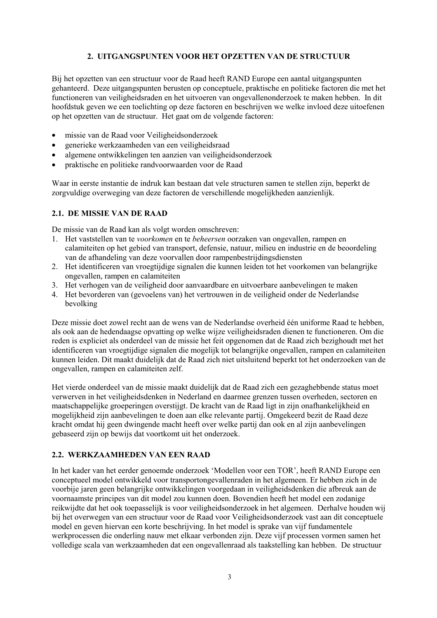# **2. UITGANGSPUNTEN VOOR HET OPZETTEN VAN DE STRUCTUUR**

<span id="page-10-0"></span>Bij het opzetten van een structuur voor de Raad heeft RAND Europe een aantal uitgangspunten gehanteerd. Deze uitgangspunten berusten op conceptuele, praktische en politieke factoren die met het functioneren van veiligheidsraden en het uitvoeren van ongevallenonderzoek te maken hebben. In dit hoofdstuk geven we een toelichting op deze factoren en beschrijven we welke invloed deze uitoefenen op het opzetten van de structuur. Het gaat om de volgende factoren:

- missie van de Raad voor Veiligheidsonderzoek
- generieke werkzaamheden van een veiligheidsraad
- algemene ontwikkelingen ten aanzien van veiligheidsonderzoek
- praktische en politieke randvoorwaarden voor de Raad

Waar in eerste instantie de indruk kan bestaan dat vele structuren samen te stellen zijn, beperkt de zorgvuldige overweging van deze factoren de verschillende mogelijkheden aanzienlijk.

## **2.1. DE MISSIE VAN DE RAAD**

De missie van de Raad kan als volgt worden omschreven:

- 1. Het vaststellen van te *voorkomen* en te *beheersen* oorzaken van ongevallen, rampen en calamiteiten op het gebied van transport, defensie, natuur, milieu en industrie en de beoordeling van de afhandeling van deze voorvallen door rampenbestrijdingsdiensten
- 2. Het identificeren van vroegtijdige signalen die kunnen leiden tot het voorkomen van belangrijke ongevallen, rampen en calamiteiten
- 3. Het verhogen van de veiligheid door aanvaardbare en uitvoerbare aanbevelingen te maken
- 4. Het bevorderen van (gevoelens van) het vertrouwen in de veiligheid onder de Nederlandse bevolking

Deze missie doet zowel recht aan de wens van de Nederlandse overheid één uniforme Raad te hebben, als ook aan de hedendaagse opvatting op welke wijze veiligheidsraden dienen te functioneren. Om die reden is expliciet als onderdeel van de missie het feit opgenomen dat de Raad zich bezighoudt met het identificeren van vroegtijdige signalen die mogelijk tot belangrijke ongevallen, rampen en calamiteiten kunnen leiden. Dit maakt duidelijk dat de Raad zich niet uitsluitend beperkt tot het onderzoeken van de ongevallen, rampen en calamiteiten zelf.

Het vierde onderdeel van de missie maakt duidelijk dat de Raad zich een gezaghebbende status moet verwerven in het veiligheidsdenken in Nederland en daarmee grenzen tussen overheden, sectoren en maatschappelijke groeperingen overstijgt. De kracht van de Raad ligt in zijn onafhankelijkheid en mogelijkheid zijn aanbevelingen te doen aan elke relevante partij. Omgekeerd bezit de Raad deze kracht omdat hij geen dwingende macht heeft over welke partij dan ook en al zijn aanbevelingen gebaseerd zijn op bewijs dat voortkomt uit het onderzoek.

#### **2.2. WERKZAAMHEDEN VAN EEN RAAD**

In het kader van het eerder genoemde onderzoek 'Modellen voor een TOR', heeft RAND Europe een conceptueel model ontwikkeld voor transportongevallenraden in het algemeen. Er hebben zich in de voorbije jaren geen belangrijke ontwikkelingen voorgedaan in veiligheidsdenken die afbreuk aan de voornaamste principes van dit model zou kunnen doen. Bovendien heeft het model een zodanige reikwijdte dat het ook toepasselijk is voor veiligheidsonderzoek in het algemeen. Derhalve houden wij bij het overwegen van een structuur voor de Raad voor Veiligheidsonderzoek vast aan dit conceptuele model en geven hiervan een korte beschrijving. In het model is sprake van vijf fundamentele werkprocessen die onderling nauw met elkaar verbonden zijn. Deze vijf processen vormen samen het volledige scala van werkzaamheden dat een ongevallenraad als taakstelling kan hebben. De structuur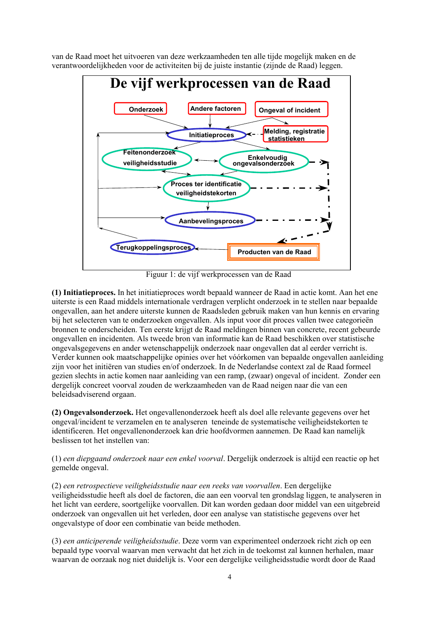van de Raad moet het uitvoeren van deze werkzaamheden ten alle tijde mogelijk maken en de verantwoordelijkheden voor de activiteiten bij de juiste instantie (zijnde de Raad) leggen.



Figuur 1: de vijf werkprocessen van de Raad

**(1) Initiatieproces.** In het initiatieproces wordt bepaald wanneer de Raad in actie komt. Aan het ene uiterste is een Raad middels internationale verdragen verplicht onderzoek in te stellen naar bepaalde ongevallen, aan het andere uiterste kunnen de Raadsleden gebruik maken van hun kennis en ervaring bij het selecteren van te onderzoeken ongevallen. Als input voor dit proces vallen twee categorieën bronnen te onderscheiden. Ten eerste krijgt de Raad meldingen binnen van concrete, recent gebeurde ongevallen en incidenten. Als tweede bron van informatie kan de Raad beschikken over statistische ongevalsgegevens en ander wetenschappelijk onderzoek naar ongevallen dat al eerder verricht is. Verder kunnen ook maatschappelijke opinies over het vóórkomen van bepaalde ongevallen aanleiding zijn voor het initiëren van studies en/of onderzoek. In de Nederlandse context zal de Raad formeel gezien slechts in actie komen naar aanleiding van een ramp, (zwaar) ongeval of incident. Zonder een dergelijk concreet voorval zouden de werkzaamheden van de Raad neigen naar die van een beleidsadviserend orgaan.

**(2) Ongevalsonderzoek.** Het ongevallenonderzoek heeft als doel alle relevante gegevens over het ongeval/incident te verzamelen en te analyseren teneinde de systematische veiligheidstekorten te identificeren. Het ongevallenonderzoek kan drie hoofdvormen aannemen. De Raad kan namelijk beslissen tot het instellen van:

(1) *een diepgaand onderzoek naar een enkel voorval*. Dergelijk onderzoek is altijd een reactie op het gemelde ongeval.

(2) *een retrospectieve veiligheidsstudie naar een reeks van voorvallen*. Een dergelijke veiligheidsstudie heeft als doel de factoren, die aan een voorval ten grondslag liggen, te analyseren in het licht van eerdere, soortgelijke voorvallen. Dit kan worden gedaan door middel van een uitgebreid onderzoek van ongevallen uit het verleden, door een analyse van statistische gegevens over het ongevalstype of door een combinatie van beide methoden.

(3) *een anticiperende veiligheidsstudie*. Deze vorm van experimenteel onderzoek richt zich op een bepaald type voorval waarvan men verwacht dat het zich in de toekomst zal kunnen herhalen, maar waarvan de oorzaak nog niet duidelijk is. Voor een dergelijke veiligheidsstudie wordt door de Raad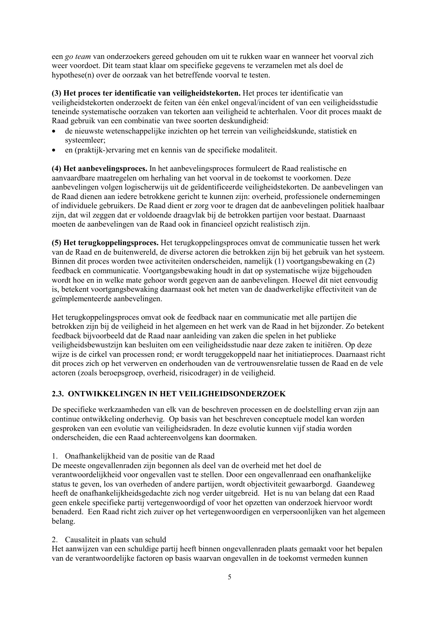<span id="page-12-0"></span>een *go team* van onderzoekers gereed gehouden om uit te rukken waar en wanneer het voorval zich weer voordoet. Dit team staat klaar om specifieke gegevens te verzamelen met als doel de hypothese(n) over de oorzaak van het betreffende voorval te testen.

**(3) Het proces ter identificatie van veiligheidstekorten.** Het proces ter identificatie van veiligheidstekorten onderzoekt de feiten van één enkel ongeval/incident of van een veiligheidsstudie teneinde systematische oorzaken van tekorten aan veiligheid te achterhalen. Voor dit proces maakt de Raad gebruik van een combinatie van twee soorten deskundigheid:

- de nieuwste wetenschappelijke inzichten op het terrein van veiligheidskunde, statistiek en systeemleer;
- en (praktijk-)ervaring met en kennis van de specifieke modaliteit.

**(4) Het aanbevelingsproces.** In het aanbevelingsproces formuleert de Raad realistische en aanvaardbare maatregelen om herhaling van het voorval in de toekomst te voorkomen. Deze aanbevelingen volgen logischerwijs uit de geïdentificeerde veiligheidstekorten. De aanbevelingen van de Raad dienen aan iedere betrokkene gericht te kunnen zijn: overheid, professionele ondernemingen of individuele gebruikers. De Raad dient er zorg voor te dragen dat de aanbevelingen politiek haalbaar zijn, dat wil zeggen dat er voldoende draagvlak bij de betrokken partijen voor bestaat. Daarnaast moeten de aanbevelingen van de Raad ook in financieel opzicht realistisch zijn.

**(5) Het terugkoppelingsproces.** Het terugkoppelingsproces omvat de communicatie tussen het werk van de Raad en de buitenwereld, de diverse actoren die betrokken zijn bij het gebruik van het systeem. Binnen dit proces worden twee activiteiten onderscheiden, namelijk (1) voortgangsbewaking en (2) feedback en communicatie. Voortgangsbewaking houdt in dat op systematische wijze bijgehouden wordt hoe en in welke mate gehoor wordt gegeven aan de aanbevelingen. Hoewel dit niet eenvoudig is, betekent voortgangsbewaking daarnaast ook het meten van de daadwerkelijke effectiviteit van de geïmplementeerde aanbevelingen.

Het terugkoppelingsproces omvat ook de feedback naar en communicatie met alle partijen die betrokken zijn bij de veiligheid in het algemeen en het werk van de Raad in het bijzonder. Zo betekent feedback bijvoorbeeld dat de Raad naar aanleiding van zaken die spelen in het publieke veiligheidsbewustzijn kan besluiten om een veiligheidsstudie naar deze zaken te initiëren. Op deze wijze is de cirkel van processen rond; er wordt teruggekoppeld naar het initiatieproces. Daarnaast richt dit proces zich op het verwerven en onderhouden van de vertrouwensrelatie tussen de Raad en de vele actoren (zoals beroepsgroep, overheid, risicodrager) in de veiligheid.

## **2.3. ONTWIKKELINGEN IN HET VEILIGHEIDSONDERZOEK**

De specifieke werkzaamheden van elk van de beschreven processen en de doelstelling ervan zijn aan continue ontwikkeling onderhevig. Op basis van het beschreven conceptuele model kan worden gesproken van een evolutie van veiligheidsraden. In deze evolutie kunnen vijf stadia worden onderscheiden, die een Raad achtereenvolgens kan doormaken.

1. Onafhankelijkheid van de positie van de Raad

De meeste ongevallenraden zijn begonnen als deel van de overheid met het doel de verantwoordelijkheid voor ongevallen vast te stellen. Door een ongevallenraad een onafhankelijke status te geven, los van overheden of andere partijen, wordt objectiviteit gewaarborgd. Gaandeweg heeft de onafhankelijkheidsgedachte zich nog verder uitgebreid. Het is nu van belang dat een Raad geen enkele specifieke partij vertegenwoordigd of voor het opzetten van onderzoek hiervoor wordt benaderd. Een Raad richt zich zuiver op het vertegenwoordigen en verpersoonlijken van het algemeen belang.

2. Causaliteit in plaats van schuld

Het aanwijzen van een schuldige partij heeft binnen ongevallenraden plaats gemaakt voor het bepalen van de verantwoordelijke factoren op basis waarvan ongevallen in de toekomst vermeden kunnen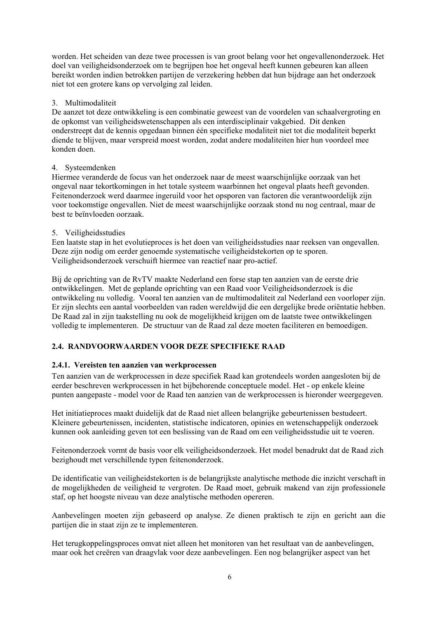<span id="page-13-0"></span>worden. Het scheiden van deze twee processen is van groot belang voor het ongevallenonderzoek. Het doel van veiligheidsonderzoek om te begrijpen hoe het ongeval heeft kunnen gebeuren kan alleen bereikt worden indien betrokken partijen de verzekering hebben dat hun bijdrage aan het onderzoek niet tot een grotere kans op vervolging zal leiden.

### 3. Multimodaliteit

De aanzet tot deze ontwikkeling is een combinatie geweest van de voordelen van schaalvergroting en de opkomst van veiligheidswetenschappen als een interdisciplinair vakgebied. Dit denken onderstreept dat de kennis opgedaan binnen één specifieke modaliteit niet tot die modaliteit beperkt diende te blijven, maar verspreid moest worden, zodat andere modaliteiten hier hun voordeel mee konden doen.

### 4. Systeemdenken

Hiermee veranderde de focus van het onderzoek naar de meest waarschijnlijke oorzaak van het ongeval naar tekortkomingen in het totale systeem waarbinnen het ongeval plaats heeft gevonden. Feitenonderzoek werd daarmee ingeruild voor het opsporen van factoren die verantwoordelijk zijn voor toekomstige ongevallen. Niet de meest waarschijnlijke oorzaak stond nu nog centraal, maar de best te beïnvloeden oorzaak.

### 5. Veiligheidsstudies

Een laatste stap in het evolutieproces is het doen van veiligheidsstudies naar reeksen van ongevallen. Deze zijn nodig om eerder genoemde systematische veiligheidstekorten op te sporen. Veiligheidsonderzoek verschuift hiermee van reactief naar pro-actief.

Bij de oprichting van de RvTV maakte Nederland een forse stap ten aanzien van de eerste drie ontwikkelingen. Met de geplande oprichting van een Raad voor Veiligheidsonderzoek is die ontwikkeling nu volledig. Vooral ten aanzien van de multimodaliteit zal Nederland een voorloper zijn. Er zijn slechts een aantal voorbeelden van raden wereldwijd die een dergelijke brede oriëntatie hebben. De Raad zal in zijn taakstelling nu ook de mogelijkheid krijgen om de laatste twee ontwikkelingen volledig te implementeren. De structuur van de Raad zal deze moeten faciliteren en bemoedigen.

# **2.4. RANDVOORWAARDEN VOOR DEZE SPECIFIEKE RAAD**

## **2.4.1. Vereisten ten aanzien van werkprocessen**

Ten aanzien van de werkprocessen in deze specifiek Raad kan grotendeels worden aangesloten bij de eerder beschreven werkprocessen in het bijbehorende conceptuele model. Het - op enkele kleine punten aangepaste - model voor de Raad ten aanzien van de werkprocessen is hieronder weergegeven.

Het initiatieproces maakt duidelijk dat de Raad niet alleen belangrijke gebeurtenissen bestudeert. Kleinere gebeurtenissen, incidenten, statistische indicatoren, opinies en wetenschappelijk onderzoek kunnen ook aanleiding geven tot een beslissing van de Raad om een veiligheidsstudie uit te voeren.

Feitenonderzoek vormt de basis voor elk veiligheidsonderzoek. Het model benadrukt dat de Raad zich bezighoudt met verschillende typen feitenonderzoek.

De identificatie van veiligheidstekorten is de belangrijkste analytische methode die inzicht verschaft in de mogelijkheden de veiligheid te vergroten. De Raad moet, gebruik makend van zijn professionele staf, op het hoogste niveau van deze analytische methoden opereren.

Aanbevelingen moeten zijn gebaseerd op analyse. Ze dienen praktisch te zijn en gericht aan die partijen die in staat zijn ze te implementeren.

Het terugkoppelingsproces omvat niet alleen het monitoren van het resultaat van de aanbevelingen, maar ook het creëren van draagvlak voor deze aanbevelingen. Een nog belangrijker aspect van het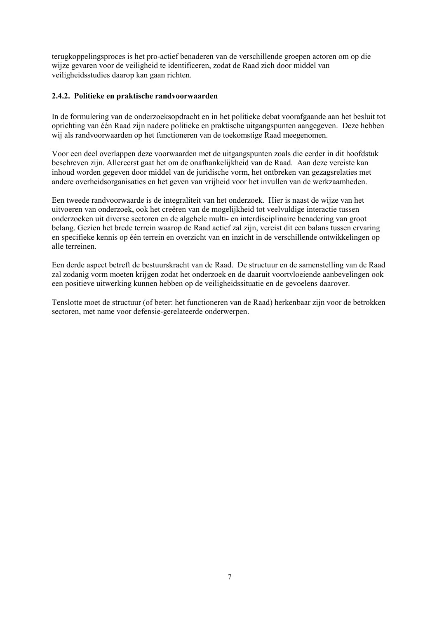<span id="page-14-0"></span>terugkoppelingsproces is het pro-actief benaderen van de verschillende groepen actoren om op die wijze gevaren voor de veiligheid te identificeren, zodat de Raad zich door middel van veiligheidsstudies daarop kan gaan richten.

### **2.4.2. Politieke en praktische randvoorwaarden**

In de formulering van de onderzoeksopdracht en in het politieke debat voorafgaande aan het besluit tot oprichting van één Raad zijn nadere politieke en praktische uitgangspunten aangegeven. Deze hebben wij als randvoorwaarden op het functioneren van de toekomstige Raad meegenomen.

Voor een deel overlappen deze voorwaarden met de uitgangspunten zoals die eerder in dit hoofdstuk beschreven zijn. Allereerst gaat het om de onafhankelijkheid van de Raad. Aan deze vereiste kan inhoud worden gegeven door middel van de juridische vorm, het ontbreken van gezagsrelaties met andere overheidsorganisaties en het geven van vrijheid voor het invullen van de werkzaamheden.

Een tweede randvoorwaarde is de integraliteit van het onderzoek. Hier is naast de wijze van het uitvoeren van onderzoek, ook het creëren van de mogelijkheid tot veelvuldige interactie tussen onderzoeken uit diverse sectoren en de algehele multi- en interdisciplinaire benadering van groot belang. Gezien het brede terrein waarop de Raad actief zal zijn, vereist dit een balans tussen ervaring en specifieke kennis op één terrein en overzicht van en inzicht in de verschillende ontwikkelingen op alle terreinen.

Een derde aspect betreft de bestuurskracht van de Raad. De structuur en de samenstelling van de Raad zal zodanig vorm moeten krijgen zodat het onderzoek en de daaruit voortvloeiende aanbevelingen ook een positieve uitwerking kunnen hebben op de veiligheidssituatie en de gevoelens daarover.

Tenslotte moet de structuur (of beter: het functioneren van de Raad) herkenbaar zijn voor de betrokken sectoren, met name voor defensie-gerelateerde onderwerpen.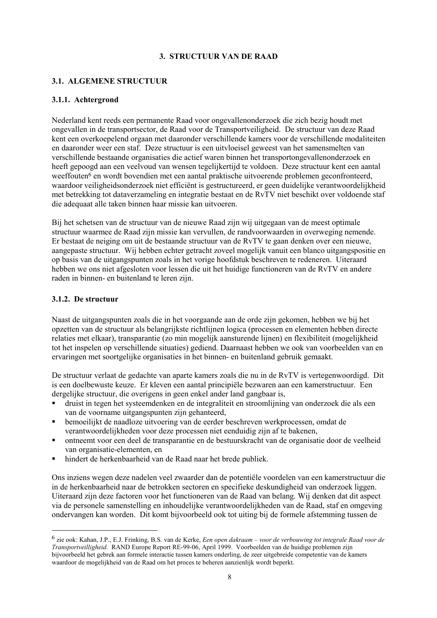### **3. STRUCTUUR VAN DE RAAD**

## <span id="page-15-0"></span>**3.1. ALGEMENE STRUCTUUR**

### **3.1.1. Achtergrond**

Nederland kent reeds een permanente Raad voor ongevallenonderzoek die zich bezig houdt met ongevallen in de transportsector, de Raad voor de Transportveiligheid. De structuur van deze Raad kent een overkoepelend orgaan met daaronder verschillende kamers voor de verschillende modaliteiten en daaronder weer een staf. Deze structuur is een uitvloeisel geweest van het samensmelten van verschillende bestaande organisaties die actief waren binnen het transportongevallenonderzoek en heeft gepoogd aan een veelvoud van wensen tegelijkertijd te voldoen. Deze structuur kent een aantal weeffouten<sup>6</sup> en wordt bovendien met een aantal praktische uitvoerende problemen geconfronteerd, waardoor veiligheidsonderzoek niet efficiënt is gestructureerd, er geen duidelijke verantwoordelijkheid met betrekking tot dataverzameling en integratie bestaat en de RvTV niet beschikt over voldoende staf die adequaat alle taken binnen haar missie kan uitvoeren.

Bij het schetsen van de structuur van de nieuwe Raad zijn wij uitgegaan van de meest optimale structuur waarmee de Raad zijn missie kan vervullen, de randvoorwaarden in overweging nemende. Er bestaat de neiging om uit de bestaande structuur van de RvTV te gaan denken over een nieuwe, aangepaste structuur. Wij hebben echter getracht zoveel mogelijk vanuit een blanco uitgangspositie en op basis van de uitgangspunten zoals in het vorige hoofdstuk beschreven te redeneren. Uiteraard hebben we ons niet afgesloten voor lessen die uit het huidige functioneren van de RvTV en andere raden in binnen- en buitenland te leren zijn.

### **3.1.2. De structuur**

l

Naast de uitgangspunten zoals die in het voorgaande aan de orde zijn gekomen, hebben we bij het opzetten van de structuur als belangrijkste richtlijnen logica (processen en elementen hebben directe relaties met elkaar), transparantie (zo min mogelijk aansturende lijnen) en flexibiliteit (mogelijkheid tot het inspelen op verschillende situaties) gediend. Daarnaast hebben we ook van voorbeelden van en ervaringen met soortgelijke organisaties in het binnen- en buitenland gebruik gemaakt.

De structuur verlaat de gedachte van aparte kamers zoals die nu in de RvTV is vertegenwoordigd. Dit is een doelbewuste keuze. Er kleven een aantal principiële bezwaren aan een kamerstructuur. Een dergelijke structuur, die overigens in geen enkel ander land gangbaar is,

- druist in tegen het systeemdenken en de integraliteit en stroomlijning van onderzoek die als een van de voorname uitgangspunten zijn gehanteerd,
- bemoeilijkt de naadloze uitvoering van de eerder beschreven werkprocessen, omdat de verantwoordelijkheden voor deze processen niet eenduidig zijn af te bakenen,
- ontneemt voor een deel de transparantie en de bestuurskracht van de organisatie door de veelheid van organisatie-elementen, en
- hindert de herkenbaarheid van de Raad naar het brede publiek.

Ons inziens wegen deze nadelen veel zwaarder dan de potentiële voordelen van een kamerstructuur die in de herkenbaarheid naar de betrokken sectoren en specifieke deskundigheid van onderzoek liggen. Uiteraard zijn deze factoren voor het functioneren van de Raad van belang. Wij denken dat dit aspect via de personele samenstelling en inhoudelijke verantwoordelijkheden van de Raad, staf en omgeving ondervangen kan worden. Dit komt bijvoorbeeld ook tot uiting bij de formele afstemming tussen de

<sup>6</sup> zie ook: Kahan, J.P., E.J. Frinking, B.S. van de Kerke, *Een open dakraam – voor de verbouwing tot integrale Raad voor de Transportveilligheid.* RAND Europe Report RE-99-06, April 1999. Voorbeelden van de huidige problemen zijn bijvoorbeeld het gebrek aan formele interactie tussen kamers onderling, de zeer uitgebreide competentie van de kamers waardoor de mogelijkheid van de Raad om het proces te beheren aanzienlijk wordt beperkt.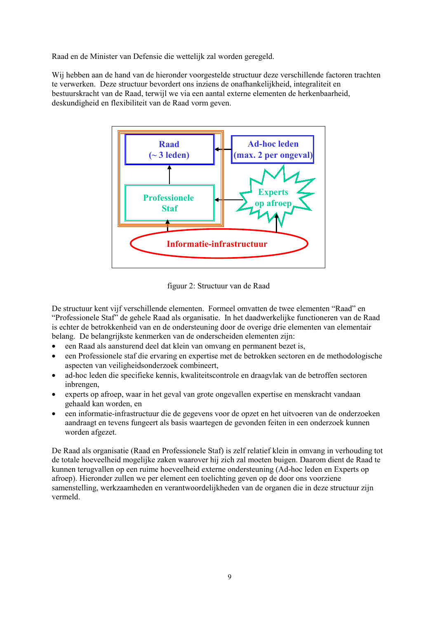Raad en de Minister van Defensie die wettelijk zal worden geregeld.

Wij hebben aan de hand van de hieronder voorgestelde structuur deze verschillende factoren trachten te verwerken. Deze structuur bevordert ons inziens de onafhankelijkheid, integraliteit en bestuurskracht van de Raad, terwijl we via een aantal externe elementen de herkenbaarheid, deskundigheid en flexibiliteit van de Raad vorm geven.



figuur 2: Structuur van de Raad

De structuur kent vijf verschillende elementen. Formeel omvatten de twee elementen "Raad" en "Professionele Staf" de gehele Raad als organisatie. In het daadwerkelijke functioneren van de Raad is echter de betrokkenheid van en de ondersteuning door de overige drie elementen van elementair belang. De belangrijkste kenmerken van de onderscheiden elementen zijn:

- een Raad als aansturend deel dat klein van omvang en permanent bezet is,
- een Professionele staf die ervaring en expertise met de betrokken sectoren en de methodologische aspecten van veiligheidsonderzoek combineert,
- ad-hoc leden die specifieke kennis, kwaliteitscontrole en draagvlak van de betroffen sectoren inbrengen,
- experts op afroep, waar in het geval van grote ongevallen expertise en menskracht vandaan gehaald kan worden, en
- een informatie-infrastructuur die de gegevens voor de opzet en het uitvoeren van de onderzoeken aandraagt en tevens fungeert als basis waartegen de gevonden feiten in een onderzoek kunnen worden afgezet.

De Raad als organisatie (Raad en Professionele Staf) is zelf relatief klein in omvang in verhouding tot de totale hoeveelheid mogelijke zaken waarover hij zich zal moeten buigen. Daarom dient de Raad te kunnen terugvallen op een ruime hoeveelheid externe ondersteuning (Ad-hoc leden en Experts op afroep). Hieronder zullen we per element een toelichting geven op de door ons voorziene samenstelling, werkzaamheden en verantwoordelijkheden van de organen die in deze structuur zijn vermeld.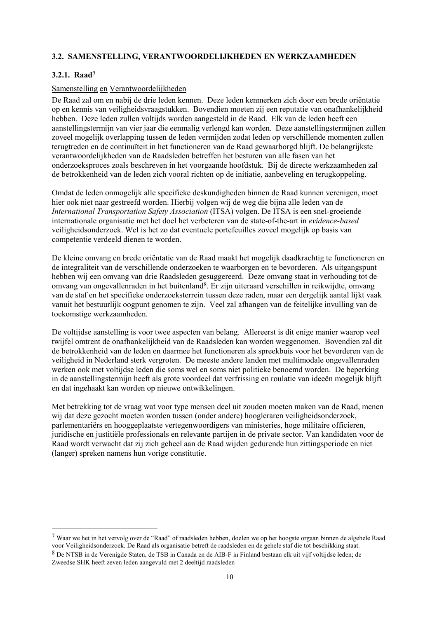## <span id="page-17-0"></span>**3.2. SAMENSTELLING, VERANTWOORDELIJKHEDEN EN WERKZAAMHEDEN**

#### **3.2.1. Raad7**

l

#### Samenstelling en Verantwoordelijkheden

De Raad zal om en nabij de drie leden kennen. Deze leden kenmerken zich door een brede oriëntatie op en kennis van veiligheidsvraagstukken. Bovendien moeten zij een reputatie van onafhankelijkheid hebben. Deze leden zullen voltijds worden aangesteld in de Raad. Elk van de leden heeft een aanstellingstermijn van vier jaar die eenmalig verlengd kan worden. Deze aanstellingstermijnen zullen zoveel mogelijk overlapping tussen de leden vermijden zodat leden op verschillende momenten zullen terugtreden en de continuïteit in het functioneren van de Raad gewaarborgd blijft. De belangrijkste verantwoordelijkheden van de Raadsleden betreffen het besturen van alle fasen van het onderzoeksproces zoals beschreven in het voorgaande hoofdstuk. Bij de directe werkzaamheden zal de betrokkenheid van de leden zich vooral richten op de initiatie, aanbeveling en terugkoppeling.

Omdat de leden onmogelijk alle specifieke deskundigheden binnen de Raad kunnen verenigen, moet hier ook niet naar gestreefd worden. Hierbij volgen wij de weg die bijna alle leden van de *International Transportation Safety Association* (ITSA) volgen. De ITSA is een snel-groeiende internationale organisatie met het doel het verbeteren van de state-of-the-art in *evidence-based* veiligheidsonderzoek. Wel is het zo dat eventuele portefeuilles zoveel mogelijk op basis van competentie verdeeld dienen te worden.

De kleine omvang en brede oriëntatie van de Raad maakt het mogelijk daadkrachtig te functioneren en de integraliteit van de verschillende onderzoeken te waarborgen en te bevorderen. Als uitgangspunt hebben wij een omvang van drie Raadsleden gesuggereerd. Deze omvang staat in verhouding tot de omvang van ongevallenraden in het buitenland8. Er zijn uiteraard verschillen in reikwijdte, omvang van de staf en het specifieke onderzoeksterrein tussen deze raden, maar een dergelijk aantal lijkt vaak vanuit het bestuurlijk oogpunt genomen te zijn. Veel zal afhangen van de feitelijke invulling van de toekomstige werkzaamheden.

De voltijdse aanstelling is voor twee aspecten van belang. Allereerst is dit enige manier waarop veel twijfel omtrent de onafhankelijkheid van de Raadsleden kan worden weggenomen. Bovendien zal dit de betrokkenheid van de leden en daarmee het functioneren als spreekbuis voor het bevorderen van de veiligheid in Nederland sterk vergroten. De meeste andere landen met multimodale ongevallenraden werken ook met voltijdse leden die soms wel en soms niet politieke benoemd worden. De beperking in de aanstellingstermijn heeft als grote voordeel dat verfrissing en roulatie van ideeën mogelijk blijft en dat ingehaakt kan worden op nieuwe ontwikkelingen.

Met betrekking tot de vraag wat voor type mensen deel uit zouden moeten maken van de Raad, menen wij dat deze gezocht moeten worden tussen (onder andere) hoogleraren veiligheidsonderzoek, parlementariërs en hooggeplaatste vertegenwoordigers van ministeries, hoge militaire officieren, juridische en justitiële professionals en relevante partijen in de private sector. Van kandidaten voor de Raad wordt verwacht dat zij zich geheel aan de Raad wijden gedurende hun zittingsperiode en niet (langer) spreken namens hun vorige constitutie.

 $7$  Waar we het in het vervolg over de "Raad" of raadsleden hebben, doelen we op het hoogste orgaan binnen de algehele Raad voor Veiligheidsonderzoek. De Raad als organisatie betreft de raadsleden en de gehele staf die tot beschikking staat. 8 De NTSB in de Verenigde Staten, de TSB in Canada en de AIB-F in Finland bestaan elk uit vijf voltijdse leden; de Zweedse SHK heeft zeven leden aangevuld met 2 deeltijd raadsleden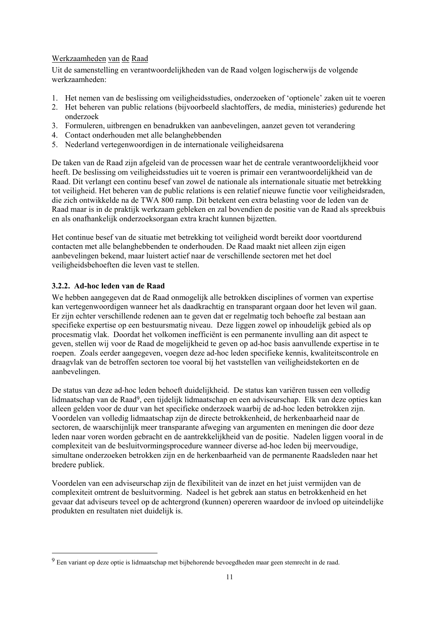## <span id="page-18-0"></span>Werkzaamheden van de Raad

Uit de samenstelling en verantwoordelijkheden van de Raad volgen logischerwijs de volgende werkzaamheden:

- 1. Het nemen van de beslissing om veiligheidsstudies, onderzoeken of 'optionele' zaken uit te voeren
- 2. Het beheren van public relations (bijvoorbeeld slachtoffers, de media, ministeries) gedurende het onderzoek
- 3. Formuleren, uitbrengen en benadrukken van aanbevelingen, aanzet geven tot verandering
- 4. Contact onderhouden met alle belanghebbenden
- 5. Nederland vertegenwoordigen in de internationale veiligheidsarena

De taken van de Raad zijn afgeleid van de processen waar het de centrale verantwoordelijkheid voor heeft. De beslissing om veiligheidsstudies uit te voeren is primair een verantwoordelijkheid van de Raad. Dit verlangt een continu besef van zowel de nationale als internationale situatie met betrekking tot veiligheid. Het beheren van de public relations is een relatief nieuwe functie voor veiligheidsraden, die zich ontwikkelde na de TWA 800 ramp. Dit betekent een extra belasting voor de leden van de Raad maar is in de praktijk werkzaam gebleken en zal bovendien de positie van de Raad als spreekbuis en als onafhankelijk onderzoeksorgaan extra kracht kunnen bijzetten.

Het continue besef van de situatie met betrekking tot veiligheid wordt bereikt door voortdurend contacten met alle belanghebbenden te onderhouden. De Raad maakt niet alleen zijn eigen aanbevelingen bekend, maar luistert actief naar de verschillende sectoren met het doel veiligheidsbehoeften die leven vast te stellen.

### **3.2.2. Ad-hoc leden van de Raad**

 $\overline{\phantom{a}}$ 

We hebben aangegeven dat de Raad onmogelijk alle betrokken disciplines of vormen van expertise kan vertegenwoordigen wanneer het als daadkrachtig en transparant orgaan door het leven wil gaan. Er zijn echter verschillende redenen aan te geven dat er regelmatig toch behoefte zal bestaan aan specifieke expertise op een bestuursmatig niveau. Deze liggen zowel op inhoudelijk gebied als op procesmatig vlak. Doordat het volkomen inefficiënt is een permanente invulling aan dit aspect te geven, stellen wij voor de Raad de mogelijkheid te geven op ad-hoc basis aanvullende expertise in te roepen. Zoals eerder aangegeven, voegen deze ad-hoc leden specifieke kennis, kwaliteitscontrole en draagvlak van de betroffen sectoren toe vooral bij het vaststellen van veiligheidstekorten en de aanbevelingen.

De status van deze ad-hoc leden behoeft duidelijkheid. De status kan variëren tussen een volledig lidmaatschap van de Raad9, een tijdelijk lidmaatschap en een adviseurschap. Elk van deze opties kan alleen gelden voor de duur van het specifieke onderzoek waarbij de ad-hoc leden betrokken zijn. Voordelen van volledig lidmaatschap zijn de directe betrokkenheid, de herkenbaarheid naar de sectoren, de waarschijnlijk meer transparante afweging van argumenten en meningen die door deze leden naar voren worden gebracht en de aantrekkelijkheid van de positie. Nadelen liggen vooral in de complexiteit van de besluitvormingsprocedure wanneer diverse ad-hoc leden bij meervoudige, simultane onderzoeken betrokken zijn en de herkenbaarheid van de permanente Raadsleden naar het bredere publiek.

Voordelen van een adviseurschap zijn de flexibiliteit van de inzet en het juist vermijden van de complexiteit omtrent de besluitvorming. Nadeel is het gebrek aan status en betrokkenheid en het gevaar dat adviseurs teveel op de achtergrond (kunnen) opereren waardoor de invloed op uiteindelijke produkten en resultaten niet duidelijk is.

<sup>9</sup> Een variant op deze optie is lidmaatschap met bijbehorende bevoegdheden maar geen stemrecht in de raad.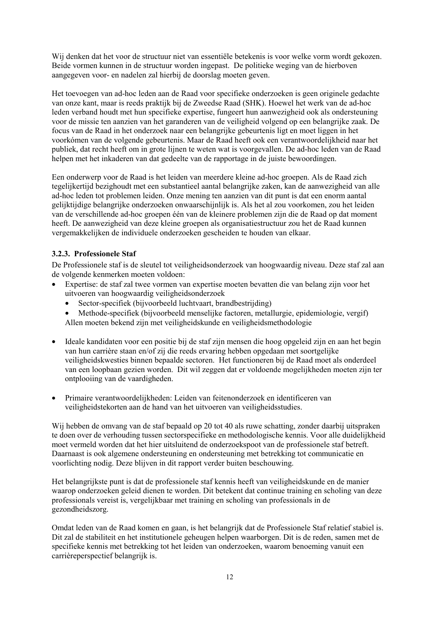<span id="page-19-0"></span>Wij denken dat het voor de structuur niet van essentiële betekenis is voor welke vorm wordt gekozen. Beide vormen kunnen in de structuur worden ingepast. De politieke weging van de hierboven aangegeven voor- en nadelen zal hierbij de doorslag moeten geven.

Het toevoegen van ad-hoc leden aan de Raad voor specifieke onderzoeken is geen originele gedachte van onze kant, maar is reeds praktijk bij de Zweedse Raad (SHK). Hoewel het werk van de ad-hoc leden verband houdt met hun specifieke expertise, fungeert hun aanwezigheid ook als ondersteuning voor de missie ten aanzien van het garanderen van de veiligheid volgend op een belangrijke zaak. De focus van de Raad in het onderzoek naar een belangrijke gebeurtenis ligt en moet liggen in het voorkómen van de volgende gebeurtenis. Maar de Raad heeft ook een verantwoordelijkheid naar het publiek, dat recht heeft om in grote lijnen te weten wat is voorgevallen. De ad-hoc leden van de Raad helpen met het inkaderen van dat gedeelte van de rapportage in de juiste bewoordingen.

Een onderwerp voor de Raad is het leiden van meerdere kleine ad-hoc groepen. Als de Raad zich tegelijkertijd bezighoudt met een substantieel aantal belangrijke zaken, kan de aanwezigheid van alle ad-hoc leden tot problemen leiden. Onze mening ten aanzien van dit punt is dat een enorm aantal gelijktijdige belangrijke onderzoeken onwaarschijnlijk is. Als het al zou voorkomen, zou het leiden van de verschillende ad-hoc groepen één van de kleinere problemen zijn die de Raad op dat moment heeft. De aanwezigheid van deze kleine groepen als organisatiestructuur zou het de Raad kunnen vergemakkelijken de individuele onderzoeken gescheiden te houden van elkaar.

## **3.2.3. Professionele Staf**

De Professionele staf is de sleutel tot veiligheidsonderzoek van hoogwaardig niveau. Deze staf zal aan de volgende kenmerken moeten voldoen:

- Expertise: de staf zal twee vormen van expertise moeten bevatten die van belang zijn voor het uitvoeren van hoogwaardig veiligheidsonderzoek
	- Sector-specifiek (bijvoorbeeld luchtvaart, brandbestrijding)
	- Methode-specifiek (bijvoorbeeld menselijke factoren, metallurgie, epidemiologie, vergif) Allen moeten bekend zijn met veiligheidskunde en veiligheidsmethodologie
- Ideale kandidaten voor een positie bij de staf zijn mensen die hoog opgeleid zijn en aan het begin van hun carrière staan en/of zij die reeds ervaring hebben opgedaan met soortgelijke veiligheidskwesties binnen bepaalde sectoren. Het functioneren bij de Raad moet als onderdeel van een loopbaan gezien worden. Dit wil zeggen dat er voldoende mogelijkheden moeten zijn ter ontplooiing van de vaardigheden.
- Primaire verantwoordelijkheden: Leiden van feitenonderzoek en identificeren van veiligheidstekorten aan de hand van het uitvoeren van veiligheidsstudies.

Wij hebben de omvang van de staf bepaald op 20 tot 40 als ruwe schatting, zonder daarbij uitspraken te doen over de verhouding tussen sectorspecifieke en methodologische kennis. Voor alle duidelijkheid moet vermeld worden dat het hier uitsluitend de onderzoekspoot van de professionele staf betreft. Daarnaast is ook algemene ondersteuning en ondersteuning met betrekking tot communicatie en voorlichting nodig. Deze blijven in dit rapport verder buiten beschouwing.

Het belangrijkste punt is dat de professionele staf kennis heeft van veiligheidskunde en de manier waarop onderzoeken geleid dienen te worden. Dit betekent dat continue training en scholing van deze professionals vereist is, vergelijkbaar met training en scholing van professionals in de gezondheidszorg.

Omdat leden van de Raad komen en gaan, is het belangrijk dat de Professionele Staf relatief stabiel is. Dit zal de stabiliteit en het institutionele geheugen helpen waarborgen. Dit is de reden, samen met de specifieke kennis met betrekking tot het leiden van onderzoeken, waarom benoeming vanuit een carrièreperspectief belangrijk is.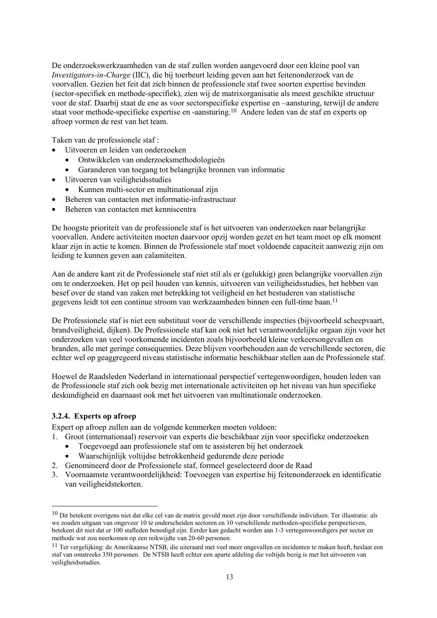<span id="page-20-0"></span>De onderzoekswerkzaamheden van de staf zullen worden aangevoerd door een kleine pool van *Investigators-in-Charge* (IIC), die bij toerbeurt leiding geven aan het feitenonderzoek van de voorvallen. Gezien het feit dat zich binnen de professionele staf twee soorten expertise bevinden (sector-specifiek en methode-specifiek), zien wij de matrixorganisatie als meest geschikte structuur voor de staf. Daarbij staat de ene as voor sectorspecifieke expertise en –aansturing, terwijl de andere staat voor methode-specifieke expertise en -aansturing.10 Andere leden van de staf en experts op afroep vormen de rest van het team.

Taken van de professionele staf :

- Uitvoeren en leiden van onderzoeken
	- Ontwikkelen van onderzoeksmethodologieën
	- Garanderen van toegang tot belangrijke bronnen van informatie
- Uitvoeren van veiligheidsstudies
	- Kunnen multi-sector en multinationaal zijn
- Beheren van contacten met informatie-infrastructuur
- Beheren van contacten met kenniscentra

De hoogste prioriteit van de professionele staf is het uitvoeren van onderzoeken naar belangrijke voorvallen. Andere activiteiten moeten daarvoor opzij worden gezet en het team moet op elk moment klaar zijn in actie te komen. Binnen de Professionele staf moet voldoende capaciteit aanwezig zijn om leiding te kunnen geven aan calamiteiten.

Aan de andere kant zit de Professionele staf niet stil als er (gelukkig) geen belangrijke voorvallen zijn om te onderzoeken. Het op peil houden van kennis, uitvoeren van veiligheidsstudies, het hebben van besef over de stand van zaken met betrekking tot veiligheid en het bestuderen van statistische gegevens leidt tot een continue stroom van werkzaamheden binnen een full-time baan.11

De Professionele staf is niet een substituut voor de verschillende inspecties (bijvoorbeeld scheepvaart, brandveiligheid, dijken). De Professionele staf kan ook niet het verantwoordelijke orgaan zijn voor het onderzoeken van veel voorkomende incidenten zoals bijvoorbeeld kleine verkeersongevallen en branden, alle met geringe consequenties. Deze blijven voorbehouden aan de verschillende sectoren, die echter wel op geaggregeerd niveau statistische informatie beschikbaar stellen aan de Professionele staf.

Hoewel de Raadsleden Nederland in internationaal perspectief vertegenwoordigen, houden leden van de Professionele staf zich ook bezig met internationale activiteiten op het niveau van hun specifieke deskundigheid en daarnaast ook met het uitvoeren van multinationale onderzoeken.

## **3.2.4. Experts op afroep**

 $\overline{a}$ 

Expert op afroep zullen aan de volgende kenmerken moeten voldoen:

- 1. Groot (internationaal) reservoir van experts die beschikbaar zijn voor specifieke onderzoeken
	- Toegevoegd aan professionele staf om te assisteren bij het onderzoek
	- Waarschijnlijk voltijdse betrokkenheid gedurende deze periode
- 2. Genomineerd door de Professionele staf, formeel geselecteerd door de Raad
- 3. Voornaamste verantwoordelijkheid: Toevoegen van expertise bij feitenonderzoek en identificatie van veiligheidstekorten.

<sup>10</sup> Dit betekent overigens niet dat elke cel van de matrix gevuld moet zijn door verschillende individuen. Ter illustratie: als we zouden uitgaan van ongeveer 10 te onderscheiden sectoren en 10 verschillende methoden-specifieke perspectieven, betekent dit niet dat er 100 stafleden benodigd zijn. Eerder kan gedacht worden aan 1-3 vertegenwoordigers per sector en methode wat zou neerkomen op een reikwijdte van 20-60 personen.

<sup>11</sup> Ter vergelijking: de Amerikaanse NTSB, die uiteraard met veel meer ongevallen en incidenten te maken heeft, beslaat een staf van omstreeks 350 personen. De NTSB heeft echter een aparte afdeling die voltijds bezig is met het uitvoeren van veiligheidsstudies.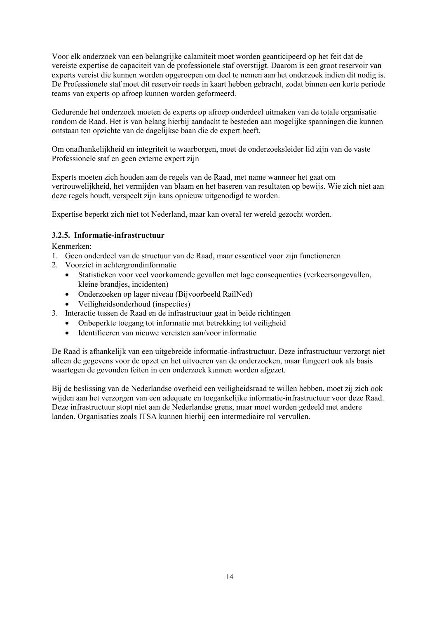<span id="page-21-0"></span>Voor elk onderzoek van een belangrijke calamiteit moet worden geanticipeerd op het feit dat de vereiste expertise de capaciteit van de professionele staf overstijgt. Daarom is een groot reservoir van experts vereist die kunnen worden opgeroepen om deel te nemen aan het onderzoek indien dit nodig is. De Professionele staf moet dit reservoir reeds in kaart hebben gebracht, zodat binnen een korte periode teams van experts op afroep kunnen worden geformeerd.

Gedurende het onderzoek moeten de experts op afroep onderdeel uitmaken van de totale organisatie rondom de Raad. Het is van belang hierbij aandacht te besteden aan mogelijke spanningen die kunnen ontstaan ten opzichte van de dagelijkse baan die de expert heeft.

Om onafhankelijkheid en integriteit te waarborgen, moet de onderzoeksleider lid zijn van de vaste Professionele staf en geen externe expert zijn

Experts moeten zich houden aan de regels van de Raad, met name wanneer het gaat om vertrouwelijkheid, het vermijden van blaam en het baseren van resultaten op bewijs. Wie zich niet aan deze regels houdt, verspeelt zijn kans opnieuw uitgenodigd te worden.

Expertise beperkt zich niet tot Nederland, maar kan overal ter wereld gezocht worden.

## **3.2.5. Informatie-infrastructuur**

Kenmerken:

- 1. Geen onderdeel van de structuur van de Raad, maar essentieel voor zijn functioneren
- 2. Voorziet in achtergrondinformatie
	- Statistieken voor veel voorkomende gevallen met lage consequenties (verkeersongevallen, kleine brandjes, incidenten)
	- Onderzoeken op lager niveau (Bijvoorbeeld RailNed)
	- Veiligheidsonderhoud (inspecties)
- 3. Interactie tussen de Raad en de infrastructuur gaat in beide richtingen
	- Onbeperkte toegang tot informatie met betrekking tot veiligheid
	- Identificeren van nieuwe vereisten aan/voor informatie

De Raad is afhankelijk van een uitgebreide informatie-infrastructuur. Deze infrastructuur verzorgt niet alleen de gegevens voor de opzet en het uitvoeren van de onderzoeken, maar fungeert ook als basis waartegen de gevonden feiten in een onderzoek kunnen worden afgezet.

Bij de beslissing van de Nederlandse overheid een veiligheidsraad te willen hebben, moet zij zich ook wijden aan het verzorgen van een adequate en toegankelijke informatie-infrastructuur voor deze Raad. Deze infrastructuur stopt niet aan de Nederlandse grens, maar moet worden gedeeld met andere landen. Organisaties zoals ITSA kunnen hierbij een intermediaire rol vervullen.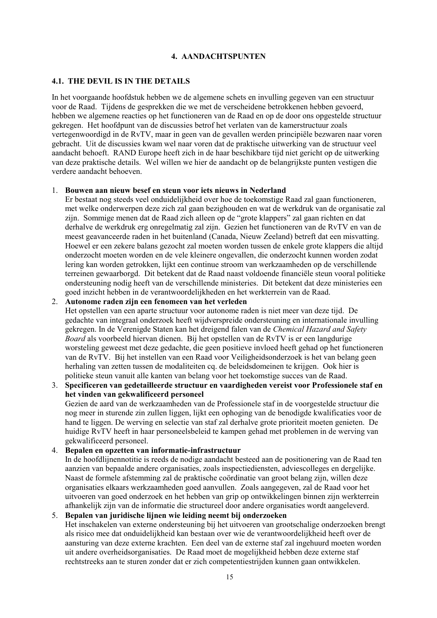### **4. AANDACHTSPUNTEN**

#### <span id="page-22-0"></span>**4.1. THE DEVIL IS IN THE DETAILS**

In het voorgaande hoofdstuk hebben we de algemene schets en invulling gegeven van een structuur voor de Raad. Tijdens de gesprekken die we met de verscheidene betrokkenen hebben gevoerd, hebben we algemene reacties op het functioneren van de Raad en op de door ons opgestelde structuur gekregen. Het hoofdpunt van de discussies betrof het verlaten van de kamerstructuur zoals vertegenwoordigd in de RvTV, maar in geen van de gevallen werden principiële bezwaren naar voren gebracht. Uit de discussies kwam wel naar voren dat de praktische uitwerking van de structuur veel aandacht behoeft. RAND Europe heeft zich in de haar beschikbare tijd niet gericht op de uitwerking van deze praktische details. Wel willen we hier de aandacht op de belangrijkste punten vestigen die verdere aandacht behoeven.

#### 1. **Bouwen aan nieuw besef en steun voor iets nieuws in Nederland**

Er bestaat nog steeds veel onduidelijkheid over hoe de toekomstige Raad zal gaan functioneren, met welke onderwerpen deze zich zal gaan bezighouden en wat de werkdruk van de organisatie zal zijn. Sommige menen dat de Raad zich alleen op de "grote klappers" zal gaan richten en dat derhalve de werkdruk erg onregelmatig zal zijn. Gezien het functioneren van de RvTV en van de meest geavanceerde raden in het buitenland (Canada, Nieuw Zeeland) betreft dat een misvatting. Hoewel er een zekere balans gezocht zal moeten worden tussen de enkele grote klappers die altijd onderzocht moeten worden en de vele kleinere ongevallen, die onderzocht kunnen worden zodat lering kan worden getrokken, lijkt een continue stroom van werkzaamheden op de verschillende terreinen gewaarborgd. Dit betekent dat de Raad naast voldoende financiële steun vooral politieke ondersteuning nodig heeft van de verschillende ministeries. Dit betekent dat deze ministeries een goed inzicht hebben in de verantwoordelijkheden en het werkterrein van de Raad.

### 2. **Autonome raden zijn een fenomeen van het verleden**

Het opstellen van een aparte structuur voor autonome raden is niet meer van deze tijd. De gedachte van integraal onderzoek heeft wijdverspreide ondersteuning en internationale invulling gekregen. In de Verenigde Staten kan het dreigend falen van de *Chemical Hazard and Safety Board* als voorbeeld hiervan dienen. Bij het opstellen van de RvTV is er een langdurige worsteling geweest met deze gedachte, die geen positieve invloed heeft gehad op het functioneren van de RvTV. Bij het instellen van een Raad voor Veiligheidsonderzoek is het van belang geen herhaling van zetten tussen de modaliteiten cq. de beleidsdomeinen te krijgen. Ook hier is politieke steun vanuit alle kanten van belang voor het toekomstige succes van de Raad.

3. **Specificeren van gedetailleerde structuur en vaardigheden vereist voor Professionele staf en het vinden van gekwalificeerd personeel** Gezien de aard van de werkzaamheden van de Professionele staf in de voorgestelde structuur die nog meer in sturende zin zullen liggen, lijkt een ophoging van de benodigde kwalificaties voor de hand te liggen. De werving en selectie van staf zal derhalve grote prioriteit moeten genieten. De huidige RvTV heeft in haar personeelsbeleid te kampen gehad met problemen in de werving van gekwalificeerd personeel.

#### 4. **Bepalen en opzetten van informatie-infrastructuur**

In de hoofdlijnennotitie is reeds de nodige aandacht besteed aan de positionering van de Raad ten aanzien van bepaalde andere organisaties, zoals inspectiediensten, adviescolleges en dergelijke. Naast de formele afstemming zal de praktische coördinatie van groot belang zijn, willen deze organisaties elkaars werkzaamheden goed aanvullen. Zoals aangegeven, zal de Raad voor het uitvoeren van goed onderzoek en het hebben van grip op ontwikkelingen binnen zijn werkterrein afhankelijk zijn van de informatie die structureel door andere organisaties wordt aangeleverd.

### 5. **Bepalen van juridische lijnen wie leiding neemt bij onderzoeken** Het inschakelen van externe ondersteuning bij het uitvoeren van grootschalige onderzoeken brengt als risico mee dat onduidelijkheid kan bestaan over wie de verantwoordelijkheid heeft over de aansturing van deze externe krachten. Een deel van de externe staf zal ingehuurd moeten worden uit andere overheidsorganisaties. De Raad moet de mogelijkheid hebben deze externe staf rechtstreeks aan te sturen zonder dat er zich competentiestrijden kunnen gaan ontwikkelen.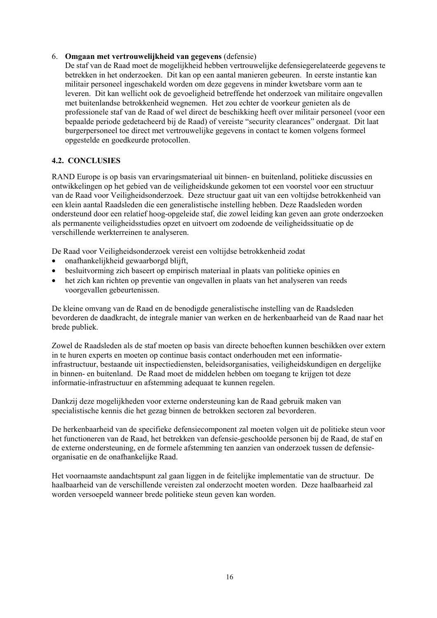### <span id="page-23-0"></span>6. **Omgaan met vertrouwelijkheid van gegevens** (defensie)

De staf van de Raad moet de mogelijkheid hebben vertrouwelijke defensiegerelateerde gegevens te betrekken in het onderzoeken. Dit kan op een aantal manieren gebeuren. In eerste instantie kan militair personeel ingeschakeld worden om deze gegevens in minder kwetsbare vorm aan te leveren. Dit kan wellicht ook de gevoeligheid betreffende het onderzoek van militaire ongevallen met buitenlandse betrokkenheid wegnemen. Het zou echter de voorkeur genieten als de professionele staf van de Raad of wel direct de beschikking heeft over militair personeel (voor een bepaalde periode gedetacheerd bij de Raad) of vereiste "security clearances" ondergaat. Dit laat burgerpersoneel toe direct met vertrouwelijke gegevens in contact te komen volgens formeel opgestelde en goedkeurde protocollen.

## **4.2. CONCLUSIES**

RAND Europe is op basis van ervaringsmateriaal uit binnen- en buitenland, politieke discussies en ontwikkelingen op het gebied van de veiligheidskunde gekomen tot een voorstel voor een structuur van de Raad voor Veiligheidsonderzoek. Deze structuur gaat uit van een voltijdse betrokkenheid van een klein aantal Raadsleden die een generalistische instelling hebben. Deze Raadsleden worden ondersteund door een relatief hoog-opgeleide staf, die zowel leiding kan geven aan grote onderzoeken als permanente veiligheidsstudies opzet en uitvoert om zodoende de veiligheidssituatie op de verschillende werkterreinen te analyseren.

De Raad voor Veiligheidsonderzoek vereist een voltijdse betrokkenheid zodat

- onafhankelijkheid gewaarborgd blijft,
- besluitvorming zich baseert op empirisch materiaal in plaats van politieke opinies en
- het zich kan richten op preventie van ongevallen in plaats van het analyseren van reeds voorgevallen gebeurtenissen.

De kleine omvang van de Raad en de benodigde generalistische instelling van de Raadsleden bevorderen de daadkracht, de integrale manier van werken en de herkenbaarheid van de Raad naar het brede publiek.

Zowel de Raadsleden als de staf moeten op basis van directe behoeften kunnen beschikken over extern in te huren experts en moeten op continue basis contact onderhouden met een informatieinfrastructuur, bestaande uit inspectiediensten, beleidsorganisaties, veiligheidskundigen en dergelijke in binnen- en buitenland. De Raad moet de middelen hebben om toegang te krijgen tot deze informatie-infrastructuur en afstemming adequaat te kunnen regelen.

Dankzij deze mogelijkheden voor externe ondersteuning kan de Raad gebruik maken van specialistische kennis die het gezag binnen de betrokken sectoren zal bevorderen.

De herkenbaarheid van de specifieke defensiecomponent zal moeten volgen uit de politieke steun voor het functioneren van de Raad, het betrekken van defensie-geschoolde personen bij de Raad, de staf en de externe ondersteuning, en de formele afstemming ten aanzien van onderzoek tussen de defensieorganisatie en de onafhankelijke Raad.

Het voornaamste aandachtspunt zal gaan liggen in de feitelijke implementatie van de structuur. De haalbaarheid van de verschillende vereisten zal onderzocht moeten worden. Deze haalbaarheid zal worden versoepeld wanneer brede politieke steun geven kan worden.